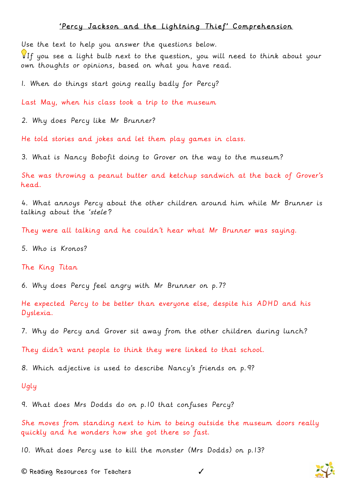## 'Percy Jackson and the Lightning Thief' Comprehension

Use the text to help you answer the questions below.

If you see a light bulb next to the question, you will need to think about your own thoughts or opinions, based on what you have read.

1. When do things start going really badly for Percy?

Last May, when his class took a trip to the museum

2. Why does Percy like Mr Brunner?

He told stories and jokes and let them play games in class.

3. What is Nancy Bobofit doing to Grover on the way to the museum?

She was throwing a peanut butter and ketchup sandwich at the back of Grover's head.

4. What annoys Percy about the other children around him while Mr Brunner is talking about the 'stele'?

They were all talking and he couldn't hear what Mr Brunner was saying.

5. Who is Kronos?

## The King Titan

6. Why does Percy feel angry with Mr Brunner on p.7?

He expected Percy to be better than everyone else, despite his ADHD and his Dyslexia.

7. Why do Percy and Grover sit away from the other children during lunch?

They didn't want people to think they were linked to that school.

8. Which adjective is used to describe Nancy's friends on p.9?

## Ugly

9. What does Mrs Dodds do on p.10 that confuses Percy?

She moves from standing next to him to being outside the museum doors really quickly and he wonders how she got there so fast.

10. What does Percy use to kill the monster (Mrs Dodds) on p.13?

**©** Reading Resources for Teachers ✓